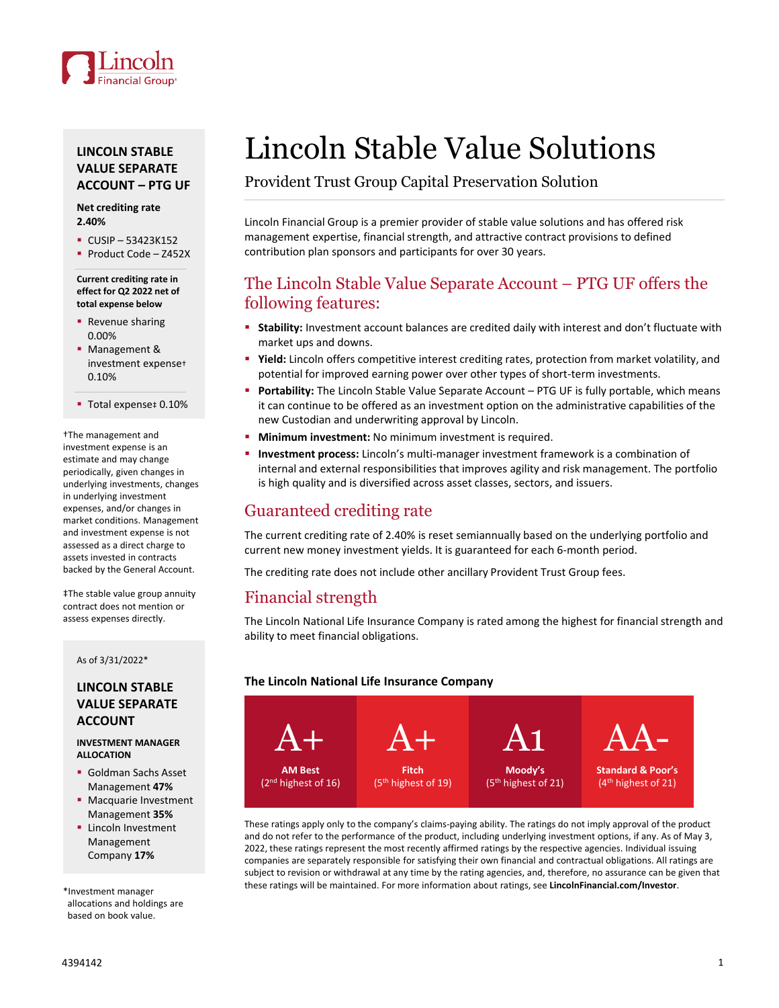

## **LINCOLN STABLE VALUE SEPARATE ACCOUNT – PTG UF**

#### **Net crediting rate 2.40%**

- $\cdot$  CUSIP 53423K152
- Product Code Z452X

**Current crediting rate in effect for Q2 2022 net of total expense below**

- **Revenue sharing** 0.00%
- Management & investment expense† 0.10%

■ Total expense‡ 0.10%

†The management and investment expense is an estimate and may change periodically, given changes in underlying investments, changes in underlying investment expenses, and/or changes in market conditions. Management and investment expense is not assessed as a direct charge to assets invested in contracts backed by the General Account.

‡The stable value group annuity contract does not mention or assess expenses directly.

#### As of 3/31/2022\*

### **LINCOLN STABLE VALUE SEPARATE ACCOUNT**

**INVESTMENT MANAGER ALLOCATION**

- Goldman Sachs Asset Management **47%**
- **Macquarie Investment** Management **35%**
- **Lincoln Investment** Management Company **17%**

\*Investment manager allocations and holdings are based on book value.

# Lincoln Stable Value Solutions

Provident Trust Group Capital Preservation Solution

Lincoln Financial Group is a premier provider of stable value solutions and has offered risk management expertise, financial strength, and attractive contract provisions to defined contribution plan sponsors and participants for over 30 years.

## The Lincoln Stable Value Separate Account – PTG UF offers the following features:

- **Stability:** Investment account balances are credited daily with interest and don't fluctuate with market ups and downs.
- **Yield:** Lincoln offers competitive interest crediting rates, protection from market volatility, and potential for improved earning power over other types of short-term investments.
- **Portability:** The Lincoln Stable Value Separate Account PTG UF is fully portable, which means it can continue to be offered as an investment option on the administrative capabilities of the new Custodian and underwriting approval by Lincoln.
- **Minimum investment:** No minimum investment is required.
- **Investment process:** Lincoln's multi-manager investment framework is a combination of internal and external responsibilities that improves agility and risk management. The portfolio is high quality and is diversified across asset classes, sectors, and issuers.

# Guaranteed crediting rate

The current crediting rate of 2.40% is reset semiannually based on the underlying portfolio and current new money investment yields. It is guaranteed for each 6-month period.

The crediting rate does not include other ancillary Provident Trust Group fees.

## Financial strength

The Lincoln National Life Insurance Company is rated among the highest for financial strength and ability to meet financial obligations.

### **The Lincoln National Life Insurance Company**



These ratings apply only to the company's claims-paying ability. The ratings do not imply approval of the product and do not refer to the performance of the product, including underlying investment options, if any. As of May 3, 2022, these ratings represent the most recently affirmed ratings by the respective agencies. Individual issuing companies are separately responsible for satisfying their own financial and contractual obligations. All ratings are subject to revision or withdrawal at any time by the rating agencies, and, therefore, no assurance can be given that these ratings will be maintained. For more information about ratings, see **LincolnFinancial.com/Investor**.